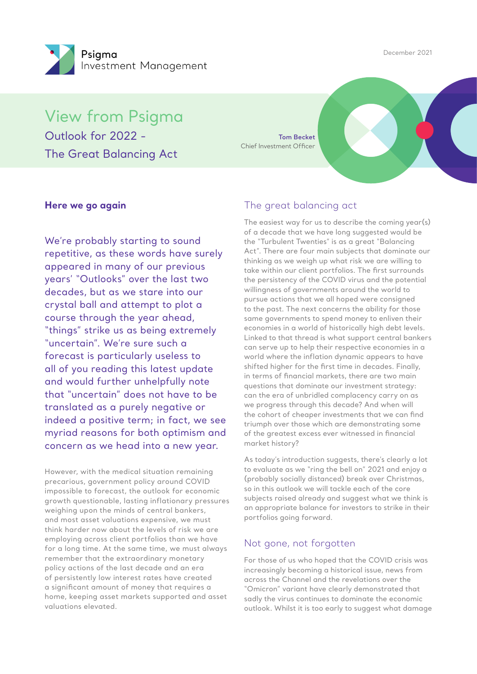December 2021



View from Psigma Outlook for 2022 - The Great Balancing Act

**Tom Becket** Chief Investment Officer

### **Here we go again**

We're probably starting to sound repetitive, as these words have surely appeared in many of our previous years' "Outlooks" over the last two decades, but as we stare into our crystal ball and attempt to plot a course through the year ahead, "things" strike us as being extremely "uncertain". We're sure such a forecast is particularly useless to all of you reading this latest update and would further unhelpfully note that "uncertain" does not have to be translated as a purely negative or indeed a positive term; in fact, we see myriad reasons for both optimism and concern as we head into a new year.

However, with the medical situation remaining precarious, government policy around COVID impossible to forecast, the outlook for economic growth questionable, lasting inflationary pressures weighing upon the minds of central bankers, and most asset valuations expensive, we must think harder now about the levels of risk we are employing across client portfolios than we have for a long time. At the same time, we must always remember that the extraordinary monetary policy actions of the last decade and an era of persistently low interest rates have created a significant amount of money that requires a home, keeping asset markets supported and asset valuations elevated.

### The great balancing act

The easiest way for us to describe the coming year(s) of a decade that we have long suggested would be the "Turbulent Twenties" is as a great "Balancing Act". There are four main subjects that dominate our thinking as we weigh up what risk we are willing to take within our client portfolios. The first surrounds the persistency of the COVID virus and the potential willingness of governments around the world to pursue actions that we all hoped were consigned to the past. The next concerns the ability for those same governments to spend money to enliven their economies in a world of historically high debt levels. Linked to that thread is what support central bankers can serve up to help their respective economies in a world where the inflation dynamic appears to have shifted higher for the first time in decades. Finally, in terms of financial markets, there are two main questions that dominate our investment strategy: can the era of unbridled complacency carry on as we progress through this decade? And when will the cohort of cheaper investments that we can find triumph over those which are demonstrating some of the greatest excess ever witnessed in financial market history?

As today's introduction suggests, there's clearly a lot to evaluate as we "ring the bell on" 2021 and enjoy a (probably socially distanced) break over Christmas, so in this outlook we will tackle each of the core subjects raised already and suggest what we think is an appropriate balance for investors to strike in their portfolios going forward.

### Not gone, not forgotten

For those of us who hoped that the COVID crisis was increasingly becoming a historical issue, news from across the Channel and the revelations over the "Omicron" variant have clearly demonstrated that sadly the virus continues to dominate the economic outlook. Whilst it is too early to suggest what damage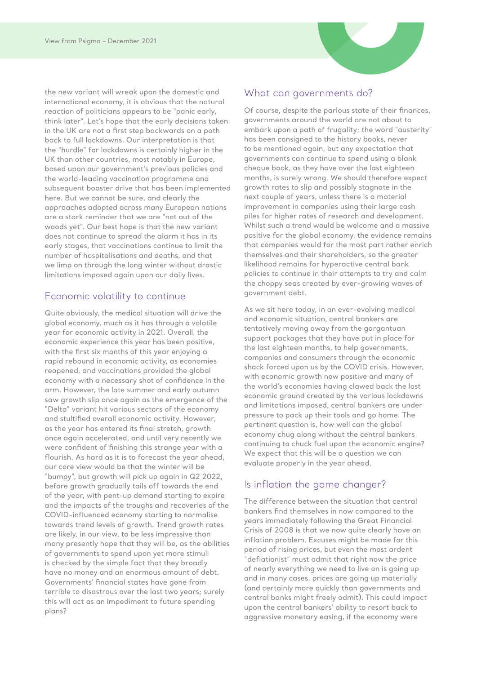the new variant will wreak upon the domestic and international economy, it is obvious that the natural reaction of politicians appears to be "panic early, think later". Let's hope that the early decisions taken in the UK are not a first step backwards on a path back to full lockdowns. Our interpretation is that the "hurdle" for lockdowns is certainly higher in the UK than other countries, most notably in Europe, based upon our government's previous policies and the world-leading vaccination programme and subsequent booster drive that has been implemented here. But we cannot be sure, and clearly the approaches adopted across many European nations are a stark reminder that we are "not out of the woods yet". Our best hope is that the new variant does not continue to spread the alarm it has in its early stages, that vaccinations continue to limit the number of hospitalisations and deaths, and that we limp on through the long winter without drastic limitations imposed again upon our daily lives.

### Economic volatility to continue

Quite obviously, the medical situation will drive the global economy, much as it has through a volatile year for economic activity in 2021. Overall, the economic experience this year has been positive, with the first six months of this year enjoying a rapid rebound in economic activity, as economies reopened, and vaccinations provided the global economy with a necessary shot of confidence in the arm. However, the late summer and early autumn saw growth slip once again as the emergence of the "Delta" variant hit various sectors of the economy and stultified overall economic activity. However, as the year has entered its final stretch, growth once again accelerated, and until very recently we were confident of finishing this strange year with a flourish. As hard as it is to forecast the year ahead, our core view would be that the winter will be "bumpy", but growth will pick up again in Q2 2022, before growth gradually tails off towards the end of the year, with pent-up demand starting to expire and the impacts of the troughs and recoveries of the COVID-influenced economy starting to normalise towards trend levels of growth. Trend growth rates are likely, in our view, to be less impressive than many presently hope that they will be, as the abilities of governments to spend upon yet more stimuli is checked by the simple fact that they broadly have no money and an enormous amount of debt. Governments' financial states have gone from terrible to disastrous over the last two years; surely this will act as an impediment to future spending plans?

### What can governments do?

Of course, despite the parlous state of their finances, governments around the world are not about to embark upon a path of frugality; the word "austerity" has been consigned to the history books, never to be mentioned again, but any expectation that governments can continue to spend using a blank cheque book, as they have over the last eighteen months, is surely wrong. We should therefore expect growth rates to slip and possibly stagnate in the next couple of years, unless there is a material improvement in companies using their large cash piles for higher rates of research and development. Whilst such a trend would be welcome and a massive positive for the global economy, the evidence remains that companies would for the most part rather enrich themselves and their shareholders, so the greater likelihood remains for hyperactive central bank policies to continue in their attempts to try and calm the choppy seas created by ever-growing waves of government debt.

As we sit here today, in an ever-evolving medical and economic situation, central bankers are tentatively moving away from the gargantuan support packages that they have put in place for the last eighteen months, to help governments, companies and consumers through the economic shock forced upon us by the COVID crisis. However, with economic growth now positive and many of the world's economies having clawed back the lost economic ground created by the various lockdowns and limitations imposed, central bankers are under pressure to pack up their tools and go home. The pertinent question is, how well can the global economy chug along without the central bankers continuing to chuck fuel upon the economic engine? We expect that this will be a question we can evaluate properly in the year ahead.

## Is inflation the game changer?

The difference between the situation that central bankers find themselves in now compared to the years immediately following the Great Financial Crisis of 2008 is that we now quite clearly have an inflation problem. Excuses might be made for this period of rising prices, but even the most ardent "deflationist" must admit that right now the price of nearly everything we need to live on is going up and in many cases, prices are going up materially (and certainly more quickly than governments and central banks might freely admit). This could impact upon the central bankers' ability to resort back to aggressive monetary easing, if the economy were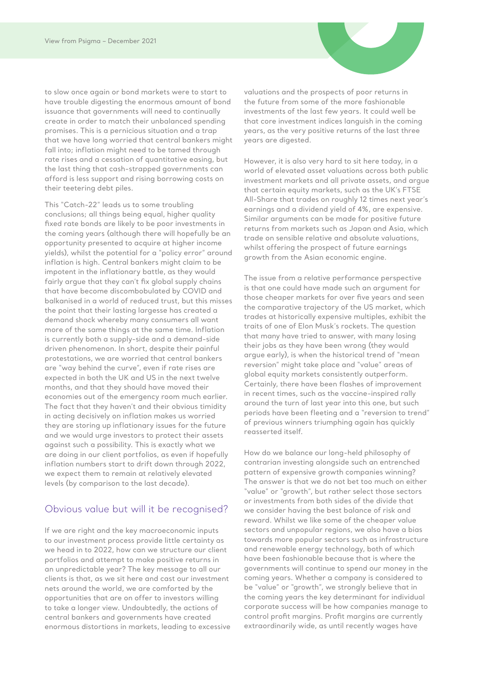to slow once again or bond markets were to start to have trouble digesting the enormous amount of bond issuance that governments will need to continually create in order to match their unbalanced spending promises. This is a pernicious situation and a trap that we have long worried that central bankers might fall into; inflation might need to be tamed through rate rises and a cessation of quantitative easing, but the last thing that cash-strapped governments can afford is less support and rising borrowing costs on their teetering debt piles.

This "Catch-22" leads us to some troubling conclusions; all things being equal, higher quality fixed rate bonds are likely to be poor investments in the coming years (although there will hopefully be an opportunity presented to acquire at higher income yields), whilst the potential for a "policy error" around inflation is high. Central bankers might claim to be impotent in the inflationary battle, as they would fairly argue that they can't fix global supply chains that have become discombobulated by COVID and balkanised in a world of reduced trust, but this misses the point that their lasting largesse has created a demand shock whereby many consumers all want more of the same things at the same time. Inflation is currently both a supply-side and a demand-side driven phenomenon. In short, despite their painful protestations, we are worried that central bankers are "way behind the curve", even if rate rises are expected in both the UK and US in the next twelve months, and that they should have moved their economies out of the emergency room much earlier. The fact that they haven't and their obvious timidity in acting decisively on inflation makes us worried they are storing up inflationary issues for the future and we would urge investors to protect their assets against such a possibility. This is exactly what we are doing in our client portfolios, as even if hopefully inflation numbers start to drift down through 2022, we expect them to remain at relatively elevated levels (by comparison to the last decade).

### Obvious value but will it be recognised?

If we are right and the key macroeconomic inputs to our investment process provide little certainty as we head in to 2022, how can we structure our client portfolios and attempt to make positive returns in an unpredictable year? The key message to all our clients is that, as we sit here and cast our investment nets around the world, we are comforted by the opportunities that are on offer to investors willing to take a longer view. Undoubtedly, the actions of central bankers and governments have created enormous distortions in markets, leading to excessive valuations and the prospects of poor returns in the future from some of the more fashionable investments of the last few years. It could well be that core investment indices languish in the coming years, as the very positive returns of the last three years are digested.

However, it is also very hard to sit here today, in a world of elevated asset valuations across both public investment markets and all private assets, and argue that certain equity markets, such as the UK's FTSE All-Share that trades on roughly 12 times next year's earnings and a dividend yield of 4%, are expensive. Similar arguments can be made for positive future returns from markets such as Japan and Asia, which trade on sensible relative and absolute valuations, whilst offering the prospect of future earnings growth from the Asian economic engine.

The issue from a relative performance perspective is that one could have made such an argument for those cheaper markets for over five years and seen the comparative trajectory of the US market, which trades at historically expensive multiples, exhibit the traits of one of Elon Musk's rockets. The question that many have tried to answer, with many losing their jobs as they have been wrong (they would argue early), is when the historical trend of "mean reversion" might take place and "value" areas of global equity markets consistently outperform. Certainly, there have been flashes of improvement in recent times, such as the vaccine-inspired rally around the turn of last year into this one, but such periods have been fleeting and a "reversion to trend" of previous winners triumphing again has quickly reasserted itself.

How do we balance our long-held philosophy of contrarian investing alongside such an entrenched pattern of expensive growth companies winning? The answer is that we do not bet too much on either "value" or "growth", but rather select those sectors or investments from both sides of the divide that we consider having the best balance of risk and reward. Whilst we like some of the cheaper value sectors and unpopular regions, we also have a bias towards more popular sectors such as infrastructure and renewable energy technology, both of which have been fashionable because that is where the governments will continue to spend our money in the coming years. Whether a company is considered to be "value" or "growth", we strongly believe that in the coming years the key determinant for individual corporate success will be how companies manage to control profit margins. Profit margins are currently extraordinarily wide, as until recently wages have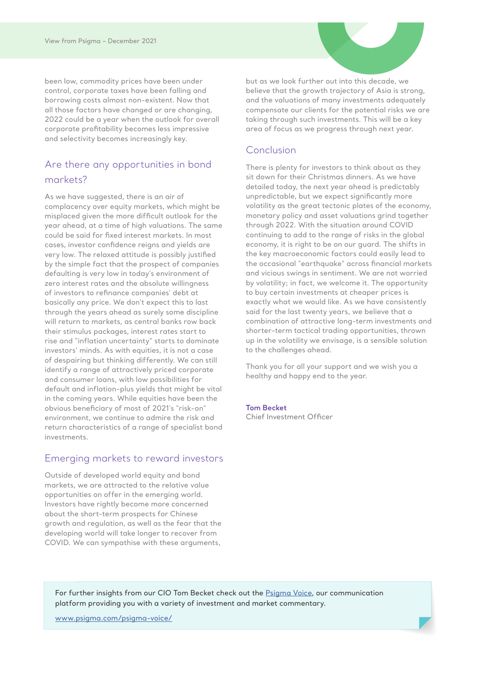been low, commodity prices have been under control, corporate taxes have been falling and borrowing costs almost non-existent. Now that all those factors have changed or are changing, 2022 could be a year when the outlook for overall corporate profitability becomes less impressive and selectivity becomes increasingly key.

## Are there any opportunities in bond markets?

As we have suggested, there is an air of complacency over equity markets, which might be misplaced given the more difficult outlook for the year ahead, at a time of high valuations. The same could be said for fixed interest markets. In most cases, investor confidence reigns and yields are very low. The relaxed attitude is possibly justified by the simple fact that the prospect of companies defaulting is very low in today's environment of zero interest rates and the absolute willingness of investors to refinance companies' debt at basically any price. We don't expect this to last through the years ahead as surely some discipline will return to markets, as central banks row back their stimulus packages, interest rates start to rise and "inflation uncertainty" starts to dominate investors' minds. As with equities, it is not a case of despairing but thinking differently. We can still identify a range of attractively priced corporate and consumer loans, with low possibilities for default and inflation-plus yields that might be vital in the coming years. While equities have been the obvious beneficiary of most of 2021's "risk-on" environment, we continue to admire the risk and return characteristics of a range of specialist bond investments.

## Emerging markets to reward investors

Outside of developed world equity and bond markets, we are attracted to the relative value opportunities on offer in the emerging world. Investors have rightly become more concerned about the short-term prospects for Chinese growth and regulation, as well as the fear that the developing world will take longer to recover from COVID. We can sympathise with these arguments,

but as we look further out into this decade, we believe that the growth trajectory of Asia is strong, and the valuations of many investments adequately compensate our clients for the potential risks we are taking through such investments. This will be a key area of focus as we progress through next year.

### Conclusion

There is plenty for investors to think about as they sit down for their Christmas dinners. As we have detailed today, the next year ahead is predictably unpredictable, but we expect significantly more volatility as the great tectonic plates of the economy, monetary policy and asset valuations grind together through 2022. With the situation around COVID continuing to add to the range of risks in the global economy, it is right to be on our guard. The shifts in the key macroeconomic factors could easily lead to the occasional "earthquake" across financial markets and vicious swings in sentiment. We are not worried by volatility; in fact, we welcome it. The opportunity to buy certain investments at cheaper prices is exactly what we would like. As we have consistently said for the last twenty years, we believe that a combination of attractive long-term investments and shorter-term tactical trading opportunities, thrown up in the volatility we envisage, is a sensible solution to the challenges ahead.

Thank you for all your support and we wish you a healthy and happy end to the year.

### **Tom Becket**

Chief Investment Officer

For further insights from our CIO Tom Becket check out the Psigma Voice, our communication platform providing you with a variety of investment and market commentary.

www.psigma.com/psigma-voice/